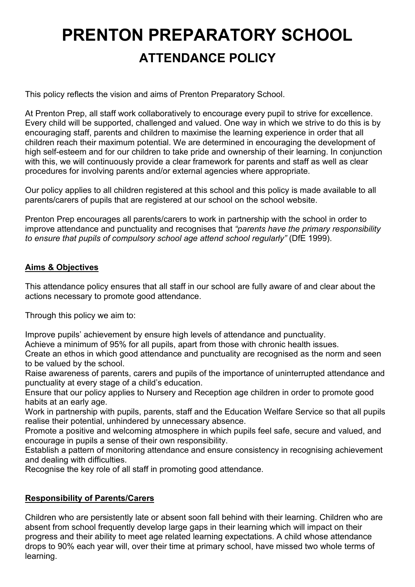# **PRENTON PREPARATORY SCHOOL ATTENDANCE POLICY**

This policy reflects the vision and aims of Prenton Preparatory School.

At Prenton Prep, all staff work collaboratively to encourage every pupil to strive for excellence. Every child will be supported, challenged and valued. One way in which we strive to do this is by encouraging staff, parents and children to maximise the learning experience in order that all children reach their maximum potential. We are determined in encouraging the development of high self-esteem and for our children to take pride and ownership of their learning. In conjunction with this, we will continuously provide a clear framework for parents and staff as well as clear procedures for involving parents and/or external agencies where appropriate.

Our policy applies to all children registered at this school and this policy is made available to all parents/carers of pupils that are registered at our school on the school website.

Prenton Prep encourages all parents/carers to work in partnership with the school in order to improve attendance and punctuality and recognises that *"parents have the primary responsibility to ensure that pupils of compulsory school age attend school regularly"* (DfE 1999).

## **Aims & Objectives**

This attendance policy ensures that all staff in our school are fully aware of and clear about the actions necessary to promote good attendance.

Through this policy we aim to:

Improve pupils' achievement by ensure high levels of attendance and punctuality.

Achieve a minimum of 95% for all pupils, apart from those with chronic health issues.

Create an ethos in which good attendance and punctuality are recognised as the norm and seen to be valued by the school.

Raise awareness of parents, carers and pupils of the importance of uninterrupted attendance and punctuality at every stage of a child's education.

Ensure that our policy applies to Nursery and Reception age children in order to promote good habits at an early age.

Work in partnership with pupils, parents, staff and the Education Welfare Service so that all pupils realise their potential, unhindered by unnecessary absence.

Promote a positive and welcoming atmosphere in which pupils feel safe, secure and valued, and encourage in pupils a sense of their own responsibility.

Establish a pattern of monitoring attendance and ensure consistency in recognising achievement and dealing with difficulties.

Recognise the key role of all staff in promoting good attendance.

## **Responsibility of Parents/Carers**

Children who are persistently late or absent soon fall behind with their learning. Children who are absent from school frequently develop large gaps in their learning which will impact on their progress and their ability to meet age related learning expectations. A child whose attendance drops to 90% each year will, over their time at primary school, have missed two whole terms of learning.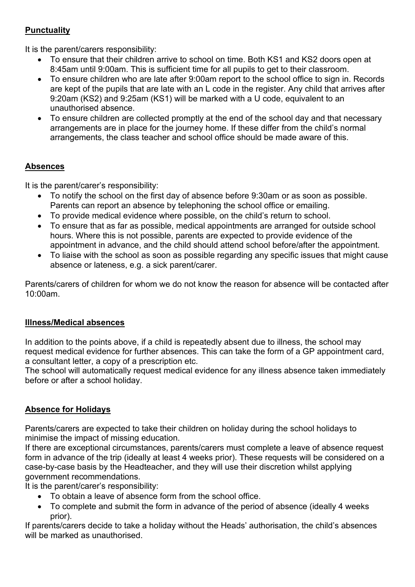## **Punctuality**

It is the parent/carers responsibility:

- To ensure that their children arrive to school on time. Both KS1 and KS2 doors open at 8:45am until 9:00am. This is sufficient time for all pupils to get to their classroom.
- To ensure children who are late after 9:00am report to the school office to sign in. Records are kept of the pupils that are late with an L code in the register. Any child that arrives after 9:20am (KS2) and 9:25am (KS1) will be marked with a U code, equivalent to an unauthorised absence.
- To ensure children are collected promptly at the end of the school day and that necessary arrangements are in place for the journey home. If these differ from the child's normal arrangements, the class teacher and school office should be made aware of this.

# **Absences**

It is the parent/carer's responsibility:

- To notify the school on the first day of absence before 9:30am or as soon as possible. Parents can report an absence by telephoning the school office or emailing.
- To provide medical evidence where possible, on the child's return to school.
- To ensure that as far as possible, medical appointments are arranged for outside school hours. Where this is not possible, parents are expected to provide evidence of the appointment in advance, and the child should attend school before/after the appointment.
- To liaise with the school as soon as possible regarding any specific issues that might cause absence or lateness, e.g. a sick parent/carer.

Parents/carers of children for whom we do not know the reason for absence will be contacted after 10:00am.

## **Illness/Medical absences**

In addition to the points above, if a child is repeatedly absent due to illness, the school may request medical evidence for further absences. This can take the form of a GP appointment card, a consultant letter, a copy of a prescription etc.

The school will automatically request medical evidence for any illness absence taken immediately before or after a school holiday.

# **Absence for Holidays**

Parents/carers are expected to take their children on holiday during the school holidays to minimise the impact of missing education.

If there are exceptional circumstances, parents/carers must complete a leave of absence request form in advance of the trip (ideally at least 4 weeks prior). These requests will be considered on a case-by-case basis by the Headteacher, and they will use their discretion whilst applying government recommendations.

It is the parent/carer's responsibility:

- To obtain a leave of absence form from the school office.
- To complete and submit the form in advance of the period of absence (ideally 4 weeks prior).

If parents/carers decide to take a holiday without the Heads' authorisation, the child's absences will be marked as unauthorised.